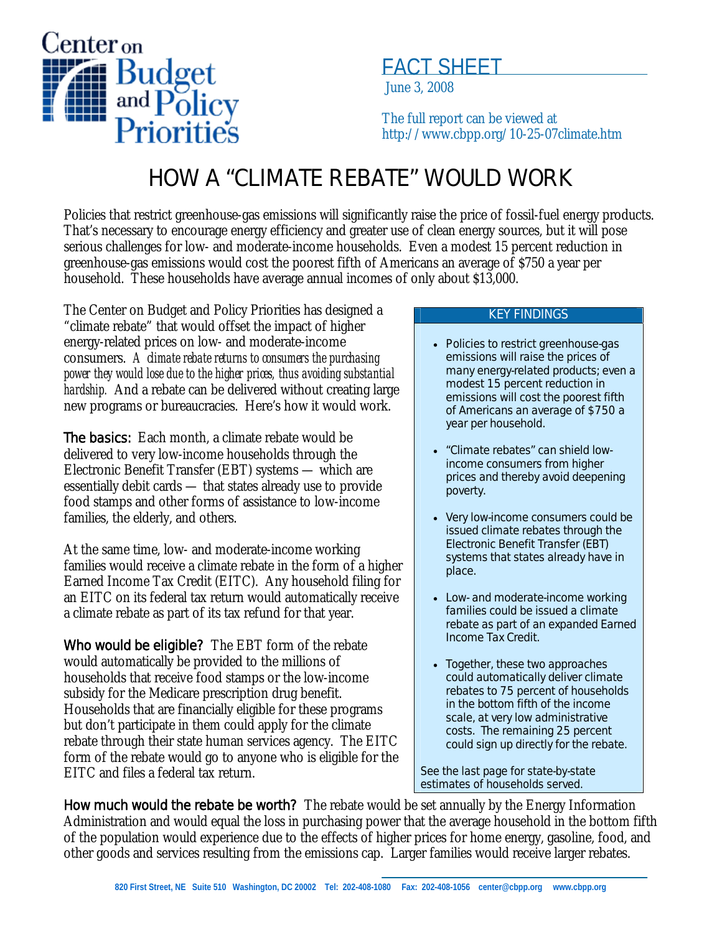

## FACT SHEET

June 3, 2008

The full report can be viewed at http://www.cbpp.org/10-25-07climate.htm

## HOW A "CLIMATE REBATE" WOULD WORK

Policies that restrict greenhouse-gas emissions will significantly raise the price of fossil-fuel energy products. That's necessary to encourage energy efficiency and greater use of clean energy sources, but it will pose serious challenges for low- and moderate-income households. Even a modest 15 percent reduction in greenhouse-gas emissions would cost the poorest fifth of Americans an average of \$750 a year per household. These households have average annual incomes of only about \$13,000.

The Center on Budget and Policy Priorities has designed a "climate rebate" that would offset the impact of higher energy-related prices on low- and moderate-income consumers. *A climate rebate returns to consumers the purchasing power they would lose due to the higher prices, thus avoiding substantial hardship.* And a rebate can be delivered without creating large new programs or bureaucracies. Here's how it would work.

**The basics:** Each month, a climate rebate would be delivered to very low-income households through the Electronic Benefit Transfer (EBT) systems — which are essentially debit cards — that states already use to provide food stamps and other forms of assistance to low-income families, the elderly, and others.

At the same time, low- and moderate-income working families would receive a climate rebate in the form of a higher Earned Income Tax Credit (EITC). Any household filing for an EITC on its federal tax return would automatically receive a climate rebate as part of its tax refund for that year.

Who would be eligible? The EBT form of the rebate would automatically be provided to the millions of households that receive food stamps or the low-income subsidy for the Medicare prescription drug benefit. Households that are financially eligible for these programs but don't participate in them could apply for the climate rebate through their state human services agency. The EITC form of the rebate would go to anyone who is eligible for the EITC and files a federal tax return.

## KEY FINDINGS

- Policies to restrict greenhouse-gas emissions will raise the prices of many energy-related products; even a modest 15 percent reduction in emissions will cost the poorest fifth of Americans an average of \$750 a year per household.
- "Climate rebates" can shield lowincome consumers from higher prices and thereby avoid deepening poverty.
- Very low-income consumers could be issued climate rebates through the Electronic Benefit Transfer (EBT) systems that states already have in place.
- Low- and moderate-income working families could be issued a climate rebate as part of an expanded Earned Income Tax Credit.
- Together, these two approaches could automatically deliver climate rebates to 75 percent of households in the bottom fifth of the income scale, at very low administrative costs. The remaining 25 percent could sign up directly for the rebate.

*See the last page for state-by-state estimates of households served.* 

How much would the rebate be worth? The rebate would be set annually by the Energy Information Administration and would equal the loss in purchasing power that the average household in the bottom fifth of the population would experience due to the effects of higher prices for home energy, gasoline, food, and other goods and services resulting from the emissions cap. Larger families would receive larger rebates.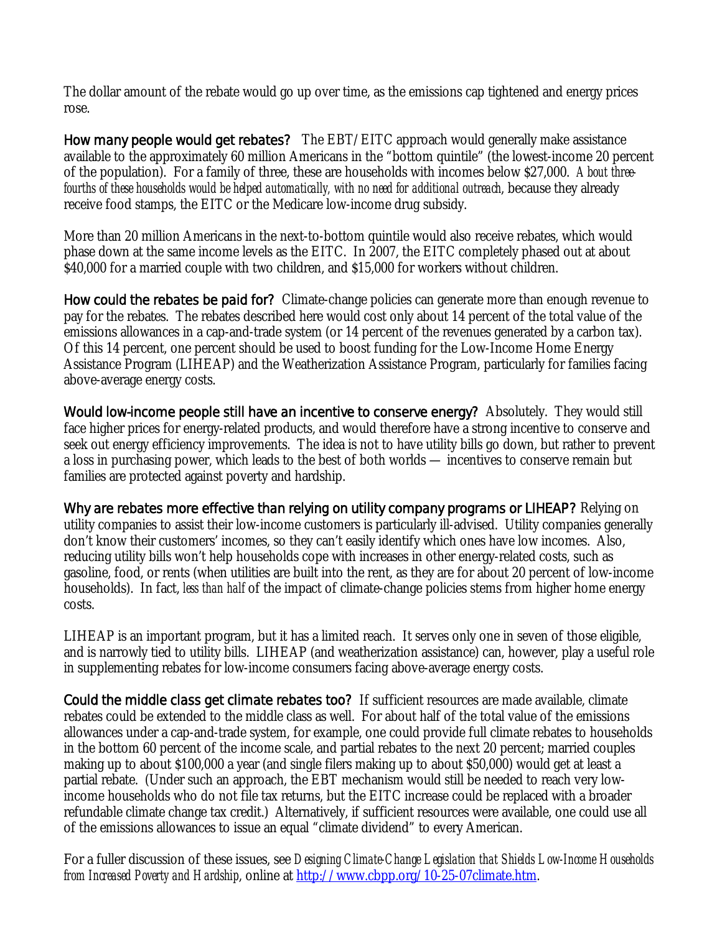The dollar amount of the rebate would go up over time, as the emissions cap tightened and energy prices rose.

How many people would get rebates? The EBT/EITC approach would generally make assistance available to the approximately 60 million Americans in the "bottom quintile" (the lowest-income 20 percent of the population). For a family of three, these are households with incomes below \$27,000. *About threefourths of these households would be helped automatically, with no need for additional outreach*, because they already receive food stamps, the EITC or the Medicare low-income drug subsidy.

More than 20 million Americans in the next-to-bottom quintile would also receive rebates, which would phase down at the same income levels as the EITC. In 2007, the EITC completely phased out at about \$40,000 for a married couple with two children, and \$15,000 for workers without children.

**How could the rebates be paid for?** Climate-change policies can generate more than enough revenue to pay for the rebates. The rebates described here would cost only about 14 percent of the total value of the emissions allowances in a cap-and-trade system (or 14 percent of the revenues generated by a carbon tax). Of this 14 percent, one percent should be used to boost funding for the Low-Income Home Energy Assistance Program (LIHEAP) and the Weatherization Assistance Program, particularly for families facing above-average energy costs.

Would low-income people still have an incentive to conserve energy? Absolutely. They would still face higher prices for energy-related products, and would therefore have a strong incentive to conserve and seek out energy efficiency improvements. The idea is not to have utility bills go down, but rather to prevent a loss in purchasing power, which leads to the best of both worlds — incentives to conserve remain but families are protected against poverty and hardship.

Why are rebates more effective than relying on utility company programs or LIHEAP? Relying on utility companies to assist their low-income customers is particularly ill-advised. Utility companies generally don't know their customers' incomes, so they can't easily identify which ones have low incomes. Also, reducing utility bills won't help households cope with increases in other energy-related costs, such as gasoline, food, or rents (when utilities are built into the rent, as they are for about 20 percent of low-income households). In fact, *less than half* of the impact of climate-change policies stems from higher home energy costs.

LIHEAP is an important program, but it has a limited reach. It serves only one in seven of those eligible, and is narrowly tied to utility bills. LIHEAP (and weatherization assistance) can, however, play a useful role in supplementing rebates for low-income consumers facing above-average energy costs.

Could the middle class get climate rebates too? If sufficient resources are made available, climate rebates could be extended to the middle class as well. For about half of the total value of the emissions allowances under a cap-and-trade system, for example, one could provide full climate rebates to households in the bottom 60 percent of the income scale, and partial rebates to the next 20 percent; married couples making up to about \$100,000 a year (and single filers making up to about \$50,000) would get at least a partial rebate. (Under such an approach, the EBT mechanism would still be needed to reach very lowincome households who do not file tax returns, but the EITC increase could be replaced with a broader refundable climate change tax credit.) Alternatively, if sufficient resources were available, one could use all of the emissions allowances to issue an equal "climate dividend" to every American.

For a fuller discussion of these issues, see *Designing Climate-Change Legislation that Shields Low-Income Households from Increased Poverty and Hardship*, online at http://www.cbpp.org/10-25-07climate.htm.